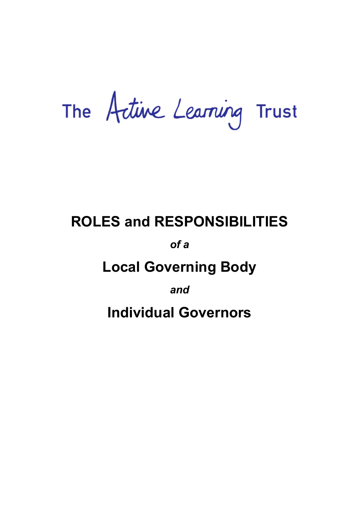# The Artive Learning Trust

## **ROLES and RESPONSIBILITIES**

### *of a*

## **Local Governing Body**

*and* 

**Individual Governors**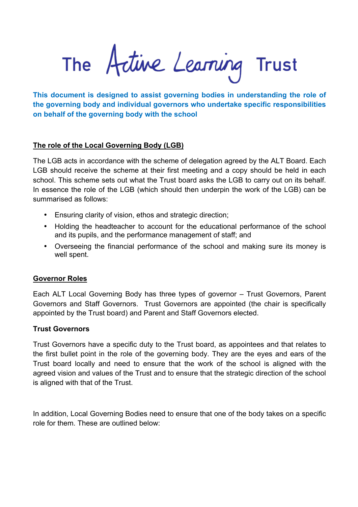The Active Learning Trust

**This document is designed to assist governing bodies in understanding the role of the governing body and individual governors who undertake specific responsibilities on behalf of the governing body with the school**

#### **The role of the Local Governing Body (LGB)**

The LGB acts in accordance with the scheme of delegation agreed by the ALT Board. Each LGB should receive the scheme at their first meeting and a copy should be held in each school. This scheme sets out what the Trust board asks the LGB to carry out on its behalf. In essence the role of the LGB (which should then underpin the work of the LGB) can be summarised as follows:

- Ensuring clarity of vision, ethos and strategic direction;
- Holding the headteacher to account for the educational performance of the school and its pupils, and the performance management of staff; and
- Overseeing the financial performance of the school and making sure its money is well spent.

#### **Governor Roles**

Each ALT Local Governing Body has three types of governor – Trust Governors, Parent Governors and Staff Governors. Trust Governors are appointed (the chair is specifically appointed by the Trust board) and Parent and Staff Governors elected.

#### **Trust Governors**

Trust Governors have a specific duty to the Trust board, as appointees and that relates to the first bullet point in the role of the governing body. They are the eyes and ears of the Trust board locally and need to ensure that the work of the school is aligned with the agreed vision and values of the Trust and to ensure that the strategic direction of the school is aligned with that of the Trust.

In addition, Local Governing Bodies need to ensure that one of the body takes on a specific role for them. These are outlined below: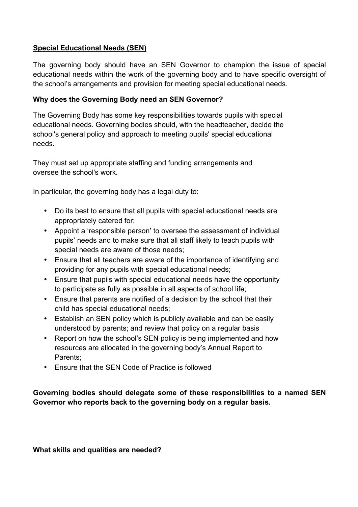#### **Special Educational Needs (SEN)**

The governing body should have an SEN Governor to champion the issue of special educational needs within the work of the governing body and to have specific oversight of the school's arrangements and provision for meeting special educational needs.

#### **Why does the Governing Body need an SEN Governor?**

The Governing Body has some key responsibilities towards pupils with special educational needs. Governing bodies should, with the headteacher, decide the school's general policy and approach to meeting pupils' special educational needs.

They must set up appropriate staffing and funding arrangements and oversee the school's work.

In particular, the governing body has a legal duty to:

- Do its best to ensure that all pupils with special educational needs are appropriately catered for;
- Appoint a 'responsible person' to oversee the assessment of individual pupils' needs and to make sure that all staff likely to teach pupils with special needs are aware of those needs;
- Ensure that all teachers are aware of the importance of identifying and providing for any pupils with special educational needs;
- Ensure that pupils with special educational needs have the opportunity to participate as fully as possible in all aspects of school life;
- Ensure that parents are notified of a decision by the school that their child has special educational needs;
- Establish an SEN policy which is publicly available and can be easily understood by parents; and review that policy on a regular basis
- Report on how the school's SEN policy is being implemented and how resources are allocated in the governing body's Annual Report to Parents;
- Ensure that the SEN Code of Practice is followed

#### **Governing bodies should delegate some of these responsibilities to a named SEN Governor who reports back to the governing body on a regular basis.**

**What skills and qualities are needed?**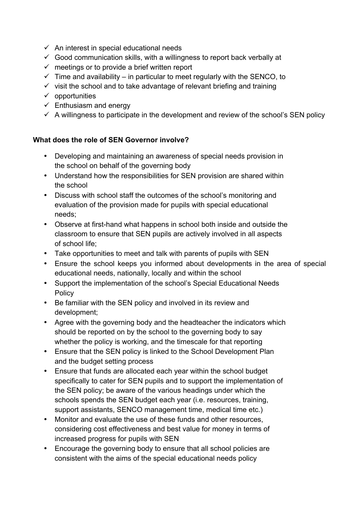- $\checkmark$  An interest in special educational needs
- $\checkmark$  Good communication skills, with a willingness to report back verbally at
- $\checkmark$  meetings or to provide a brief written report
- $\checkmark$  Time and availability in particular to meet regularly with the SENCO, to
- $\checkmark$  visit the school and to take advantage of relevant briefing and training
- $\checkmark$  opportunities
- $\checkmark$  Enthusiasm and energy
- $\checkmark$  A willingness to participate in the development and review of the school's SEN policy

#### **What does the role of SEN Governor involve?**

- Developing and maintaining an awareness of special needs provision in the school on behalf of the governing body
- Understand how the responsibilities for SEN provision are shared within the school
- Discuss with school staff the outcomes of the school's monitoring and evaluation of the provision made for pupils with special educational needs;
- Observe at first-hand what happens in school both inside and outside the classroom to ensure that SEN pupils are actively involved in all aspects of school life;
- Take opportunities to meet and talk with parents of pupils with SEN
- Ensure the school keeps you informed about developments in the area of special educational needs, nationally, locally and within the school
- Support the implementation of the school's Special Educational Needs **Policy**
- Be familiar with the SEN policy and involved in its review and development;
- Agree with the governing body and the headteacher the indicators which should be reported on by the school to the governing body to say whether the policy is working, and the timescale for that reporting
- Ensure that the SEN policy is linked to the School Development Plan and the budget setting process
- Ensure that funds are allocated each year within the school budget specifically to cater for SEN pupils and to support the implementation of the SEN policy; be aware of the various headings under which the schools spends the SEN budget each year (i.e. resources, training, support assistants, SENCO management time, medical time etc.)
- Monitor and evaluate the use of these funds and other resources, considering cost effectiveness and best value for money in terms of increased progress for pupils with SEN
- Encourage the governing body to ensure that all school policies are consistent with the aims of the special educational needs policy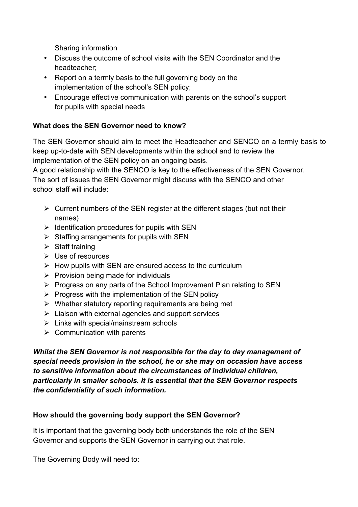Sharing information

- Discuss the outcome of school visits with the SEN Coordinator and the headteacher;
- Report on a termly basis to the full governing body on the implementation of the school's SEN policy;
- Encourage effective communication with parents on the school's support for pupils with special needs

#### **What does the SEN Governor need to know?**

The SEN Governor should aim to meet the Headteacher and SENCO on a termly basis to keep up-to-date with SEN developments within the school and to review the implementation of the SEN policy on an ongoing basis.

A good relationship with the SENCO is key to the effectiveness of the SEN Governor. The sort of issues the SEN Governor might discuss with the SENCO and other school staff will include:

- $\triangleright$  Current numbers of the SEN register at the different stages (but not their names)
- $\triangleright$  Identification procedures for pupils with SEN
- $\triangleright$  Staffing arrangements for pupils with SEN
- $\triangleright$  Staff training
- $\triangleright$  Use of resources
- $\triangleright$  How pupils with SEN are ensured access to the curriculum
- $\triangleright$  Provision being made for individuals
- $\triangleright$  Progress on any parts of the School Improvement Plan relating to SEN
- $\triangleright$  Progress with the implementation of the SEN policy
- $\triangleright$  Whether statutory reporting requirements are being met
- $\triangleright$  Liaison with external agencies and support services
- $\triangleright$  Links with special/mainstream schools
- $\triangleright$  Communication with parents

*Whilst the SEN Governor is not responsible for the day to day management of special needs provision in the school, he or she may on occasion have access to sensitive information about the circumstances of individual children, particularly in smaller schools. It is essential that the SEN Governor respects the confidentiality of such information.*

#### **How should the governing body support the SEN Governor?**

It is important that the governing body both understands the role of the SEN Governor and supports the SEN Governor in carrying out that role.

The Governing Body will need to: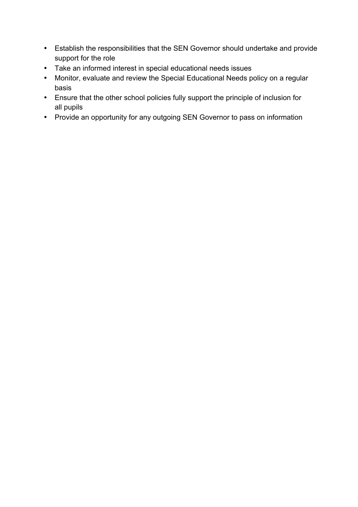- Establish the responsibilities that the SEN Governor should undertake and provide support for the role
- Take an informed interest in special educational needs issues
- Monitor, evaluate and review the Special Educational Needs policy on a regular basis
- Ensure that the other school policies fully support the principle of inclusion for all pupils
- Provide an opportunity for any outgoing SEN Governor to pass on information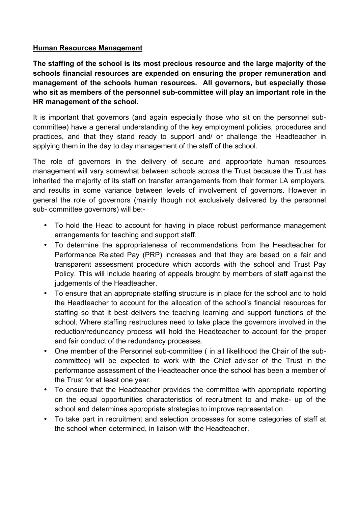#### **Human Resources Management**

**The staffing of the school is its most precious resource and the large majority of the schools financial resources are expended on ensuring the proper remuneration and management of the schools human resources. All governors, but especially those who sit as members of the personnel sub-committee will play an important role in the HR management of the school.** 

It is important that governors (and again especially those who sit on the personnel subcommittee) have a general understanding of the key employment policies, procedures and practices, and that they stand ready to support and/ or challenge the Headteacher in applying them in the day to day management of the staff of the school.

The role of governors in the delivery of secure and appropriate human resources management will vary somewhat between schools across the Trust because the Trust has inherited the majority of its staff on transfer arrangements from their former LA employers, and results in some variance between levels of involvement of governors. However in general the role of governors (mainly though not exclusively delivered by the personnel sub- committee governors) will be:-

- To hold the Head to account for having in place robust performance management arrangements for teaching and support staff.
- To determine the appropriateness of recommendations from the Headteacher for Performance Related Pay (PRP) increases and that they are based on a fair and transparent assessment procedure which accords with the school and Trust Pay Policy. This will include hearing of appeals brought by members of staff against the judgements of the Headteacher.
- To ensure that an appropriate staffing structure is in place for the school and to hold the Headteacher to account for the allocation of the school's financial resources for staffing so that it best delivers the teaching learning and support functions of the school. Where staffing restructures need to take place the governors involved in the reduction/redundancy process will hold the Headteacher to account for the proper and fair conduct of the redundancy processes.
- One member of the Personnel sub-committee ( in all likelihood the Chair of the subcommittee) will be expected to work with the Chief adviser of the Trust in the performance assessment of the Headteacher once the school has been a member of the Trust for at least one year.
- To ensure that the Headteacher provides the committee with appropriate reporting on the equal opportunities characteristics of recruitment to and make- up of the school and determines appropriate strategies to improve representation.
- To take part in recruitment and selection processes for some categories of staff at the school when determined, in liaison with the Headteacher.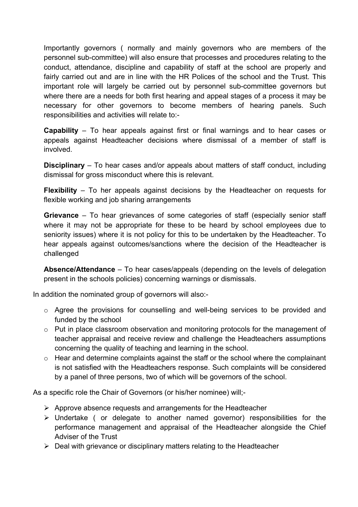Importantly governors ( normally and mainly governors who are members of the personnel sub-committee) will also ensure that processes and procedures relating to the conduct, attendance, discipline and capability of staff at the school are properly and fairly carried out and are in line with the HR Polices of the school and the Trust. This important role will largely be carried out by personnel sub-committee governors but where there are a needs for both first hearing and appeal stages of a process it may be necessary for other governors to become members of hearing panels. Such responsibilities and activities will relate to:-

**Capability** – To hear appeals against first or final warnings and to hear cases or appeals against Headteacher decisions where dismissal of a member of staff is involved.

**Disciplinary** – To hear cases and/or appeals about matters of staff conduct, including dismissal for gross misconduct where this is relevant.

**Flexibility** – To her appeals against decisions by the Headteacher on requests for flexible working and job sharing arrangements

**Grievance** – To hear grievances of some categories of staff (especially senior staff where it may not be appropriate for these to be heard by school employees due to seniority issues) where it is not policy for this to be undertaken by the Headteacher. To hear appeals against outcomes/sanctions where the decision of the Headteacher is challenged

**Absence/Attendance** – To hear cases/appeals (depending on the levels of delegation present in the schools policies) concerning warnings or dismissals.

In addition the nominated group of governors will also:-

- o Agree the provisions for counselling and well-being services to be provided and funded by the school
- $\circ$  Put in place classroom observation and monitoring protocols for the management of teacher appraisal and receive review and challenge the Headteachers assumptions concerning the quality of teaching and learning in the school.
- o Hear and determine complaints against the staff or the school where the complainant is not satisfied with the Headteachers response. Such complaints will be considered by a panel of three persons, two of which will be governors of the school.

As a specific role the Chair of Governors (or his/her nominee) will;-

- $\triangleright$  Approve absence requests and arrangements for the Headteacher
- $\triangleright$  Undertake ( or delegate to another named governor) responsibilities for the performance management and appraisal of the Headteacher alongside the Chief Adviser of the Trust
- $\triangleright$  Deal with grievance or disciplinary matters relating to the Headteacher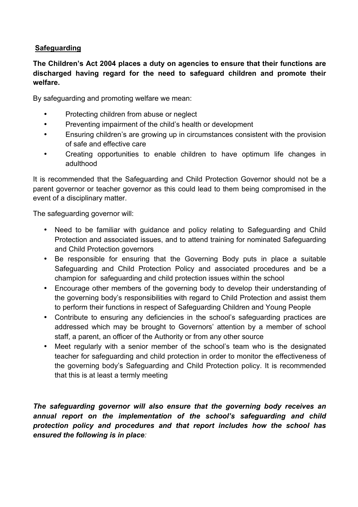#### **Safeguarding**

#### **The Children's Act 2004 places a duty on agencies to ensure that their functions are discharged having regard for the need to safeguard children and promote their welfare.**

By safeguarding and promoting welfare we mean:

- Protecting children from abuse or neglect
- Preventing impairment of the child's health or development
- Ensuring children's are growing up in circumstances consistent with the provision of safe and effective care
- Creating opportunities to enable children to have optimum life changes in adulthood

It is recommended that the Safeguarding and Child Protection Governor should not be a parent governor or teacher governor as this could lead to them being compromised in the event of a disciplinary matter.

The safeguarding governor will:

- Need to be familiar with guidance and policy relating to Safeguarding and Child Protection and associated issues, and to attend training for nominated Safeguarding and Child Protection governors
- Be responsible for ensuring that the Governing Body puts in place a suitable Safeguarding and Child Protection Policy and associated procedures and be a champion for safeguarding and child protection issues within the school
- Encourage other members of the governing body to develop their understanding of the governing body's responsibilities with regard to Child Protection and assist them to perform their functions in respect of Safeguarding Children and Young People
- Contribute to ensuring any deficiencies in the school's safeguarding practices are addressed which may be brought to Governors' attention by a member of school staff, a parent, an officer of the Authority or from any other source
- Meet regularly with a senior member of the school's team who is the designated teacher for safeguarding and child protection in order to monitor the effectiveness of the governing body's Safeguarding and Child Protection policy. It is recommended that this is at least a termly meeting

*The safeguarding governor will also ensure that the governing body receives an annual report on the implementation of the school's safeguarding and child protection policy and procedures and that report includes how the school has ensured the following is in place:*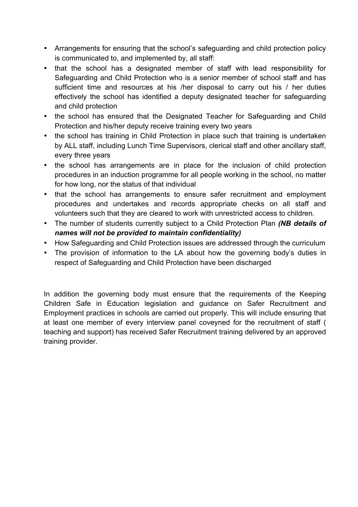- Arrangements for ensuring that the school's safeguarding and child protection policy is communicated to, and implemented by, all staff:
- that the school has a designated member of staff with lead responsibility for Safeguarding and Child Protection who is a senior member of school staff and has sufficient time and resources at his /her disposal to carry out his / her duties effectively the school has identified a deputy designated teacher for safeguarding and child protection
- the school has ensured that the Designated Teacher for Safeguarding and Child Protection and his/her deputy receive training every two years
- the school has training in Child Protection in place such that training is undertaken by ALL staff, including Lunch Time Supervisors, clerical staff and other ancillary staff, every three years
- the school has arrangements are in place for the inclusion of child protection procedures in an induction programme for all people working in the school, no matter for how long, nor the status of that individual
- that the school has arrangements to ensure safer recruitment and employment procedures and undertakes and records appropriate checks on all staff and volunteers such that they are cleared to work with unrestricted access to children.
- The number of students currently subject to a Child Protection Plan *(NB details of names will not be provided to maintain confidentiality)*
- How Safeguarding and Child Protection issues are addressed through the curriculum
- The provision of information to the LA about how the governing body's duties in respect of Safeguarding and Child Protection have been discharged

In addition the governing body must ensure that the requirements of the Keeping Children Safe in Education legislation and guidance on Safer Recruitment and Employment practices in schools are carried out properly. This will include ensuring that at least one member of every interview panel coveyned for the recruitment of staff ( teaching and support) has received Safer Recruitment training delivered by an approved training provider.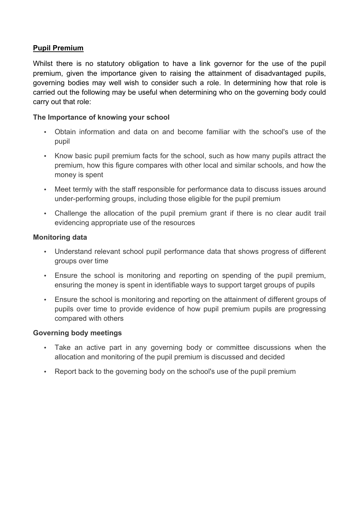#### **Pupil Premium**

Whilst there is no statutory obligation to have a link governor for the use of the pupil premium, given the importance given to raising the attainment of disadvantaged pupils, governing bodies may well wish to consider such a role. In determining how that role is carried out the following may be useful when determining who on the governing body could carry out that role:

#### **The Importance of knowing your school**

- Obtain information and data on and become familiar with the school's use of the pupil
- Know basic pupil premium facts for the school, such as how many pupils attract the premium, how this figure compares with other local and similar schools, and how the money is spent
- Meet termly with the staff responsible for performance data to discuss issues around under-performing groups, including those eligible for the pupil premium
- Challenge the allocation of the pupil premium grant if there is no clear audit trail evidencing appropriate use of the resources

#### **Monitoring data**

- Understand relevant school pupil performance data that shows progress of different groups over time
- Ensure the school is monitoring and reporting on spending of the pupil premium, ensuring the money is spent in identifiable ways to support target groups of pupils
- Ensure the school is monitoring and reporting on the attainment of different groups of pupils over time to provide evidence of how pupil premium pupils are progressing compared with others

#### **Governing body meetings**

- Take an active part in any governing body or committee discussions when the allocation and monitoring of the pupil premium is discussed and decided
- Report back to the governing body on the school's use of the pupil premium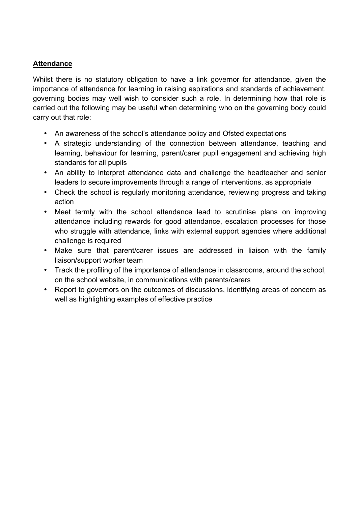#### **Attendance**

Whilst there is no statutory obligation to have a link governor for attendance, given the importance of attendance for learning in raising aspirations and standards of achievement, governing bodies may well wish to consider such a role. In determining how that role is carried out the following may be useful when determining who on the governing body could carry out that role:

- An awareness of the school's attendance policy and Ofsted expectations
- A strategic understanding of the connection between attendance, teaching and learning, behaviour for learning, parent/carer pupil engagement and achieving high standards for all pupils
- An ability to interpret attendance data and challenge the headteacher and senior leaders to secure improvements through a range of interventions, as appropriate
- Check the school is regularly monitoring attendance, reviewing progress and taking action
- Meet termly with the school attendance lead to scrutinise plans on improving attendance including rewards for good attendance, escalation processes for those who struggle with attendance, links with external support agencies where additional challenge is required
- Make sure that parent/carer issues are addressed in liaison with the family liaison/support worker team
- Track the profiling of the importance of attendance in classrooms, around the school, on the school website, in communications with parents/carers
- Report to governors on the outcomes of discussions, identifying areas of concern as well as highlighting examples of effective practice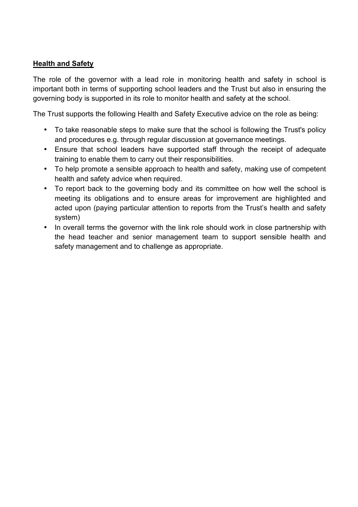#### **Health and Safety**

The role of the governor with a lead role in monitoring health and safety in school is important both in terms of supporting school leaders and the Trust but also in ensuring the governing body is supported in its role to monitor health and safety at the school.

The Trust supports the following Health and Safety Executive advice on the role as being:

- To take reasonable steps to make sure that the school is following the Trust's policy and procedures e.g. through regular discussion at governance meetings.
- Ensure that school leaders have supported staff through the receipt of adequate training to enable them to carry out their responsibilities.
- To help promote a sensible approach to health and safety, making use of competent health and safety advice when required.
- To report back to the governing body and its committee on how well the school is meeting its obligations and to ensure areas for improvement are highlighted and acted upon (paying particular attention to reports from the Trust's health and safety system)
- In overall terms the governor with the link role should work in close partnership with the head teacher and senior management team to support sensible health and safety management and to challenge as appropriate.